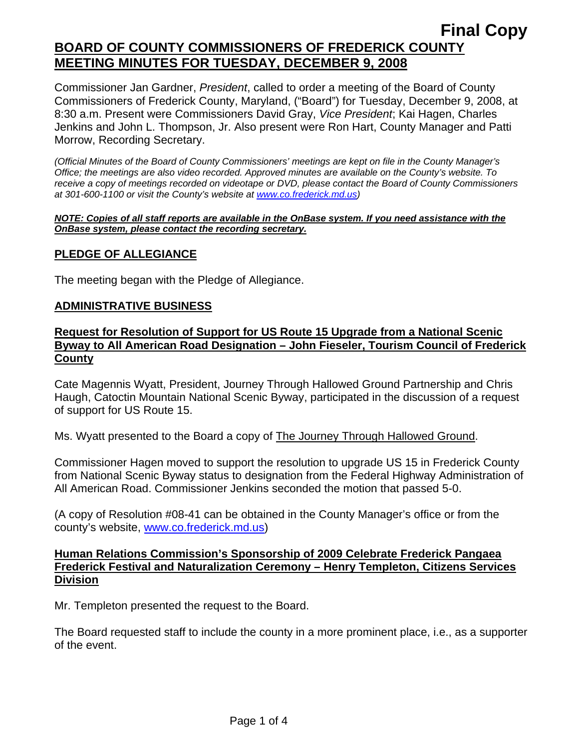Commissioner Jan Gardner, *President*, called to order a meeting of the Board of County Commissioners of Frederick County, Maryland, ("Board") for Tuesday, December 9, 2008, at 8:30 a.m. Present were Commissioners David Gray, *Vice President*; Kai Hagen, Charles Jenkins and John L. Thompson, Jr. Also present were Ron Hart, County Manager and Patti Morrow, Recording Secretary.

*(Official Minutes of the Board of County Commissioners' meetings are kept on file in the County Manager's Office; the meetings are also video recorded. Approved minutes are available on the County's website. To receive a copy of meetings recorded on videotape or DVD, please contact the Board of County Commissioners at 301-600-1100 or visit the County's website at [www.co.frederick.md.us\)](http://www.co.frederick.md.us/)* 

#### *NOTE: Copies of all staff reports are available in the OnBase system. If you need assistance with the OnBase system, please contact the recording secretary.*

## **PLEDGE OF ALLEGIANCE**

The meeting began with the Pledge of Allegiance.

### **ADMINISTRATIVE BUSINESS**

## **Request for Resolution of Support for US Route 15 Upgrade from a National Scenic Byway to All American Road Designation – John Fieseler, Tourism Council of Frederick County**

Cate Magennis Wyatt, President, Journey Through Hallowed Ground Partnership and Chris Haugh, Catoctin Mountain National Scenic Byway, participated in the discussion of a request of support for US Route 15.

Ms. Wyatt presented to the Board a copy of The Journey Through Hallowed Ground.

Commissioner Hagen moved to support the resolution to upgrade US 15 in Frederick County from National Scenic Byway status to designation from the Federal Highway Administration of All American Road. Commissioner Jenkins seconded the motion that passed 5-0.

(A copy of Resolution #08-41 can be obtained in the County Manager's office or from the county's website, www.co.frederick.md.us)

### **Human Relations Commission's Sponsorship of 2009 Celebrate Frederick Pangaea Frederick Festival and Naturalization Ceremony – Henry Templeton, Citizens Services Division**

Mr. Templeton presented the request to the Board.

The Board requested staff to include the county in a more prominent place, i.e., as a supporter of the event.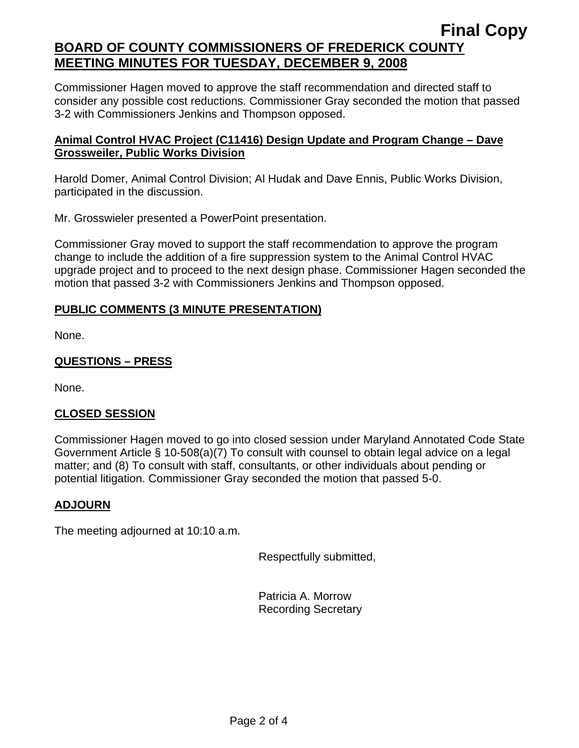Commissioner Hagen moved to approve the staff recommendation and directed staff to consider any possible cost reductions. Commissioner Gray seconded the motion that passed 3-2 with Commissioners Jenkins and Thompson opposed.

## **Animal Control HVAC Project (C11416) Design Update and Program Change – Dave Grossweiler, Public Works Division**

Harold Domer, Animal Control Division; Al Hudak and Dave Ennis, Public Works Division, participated in the discussion.

Mr. Grosswieler presented a PowerPoint presentation.

Commissioner Gray moved to support the staff recommendation to approve the program change to include the addition of a fire suppression system to the Animal Control HVAC upgrade project and to proceed to the next design phase. Commissioner Hagen seconded the motion that passed 3-2 with Commissioners Jenkins and Thompson opposed.

# **PUBLIC COMMENTS (3 MINUTE PRESENTATION)**

None.

# **QUESTIONS – PRESS**

None.

# **CLOSED SESSION**

Commissioner Hagen moved to go into closed session under Maryland Annotated Code State Government Article § 10-508(a)(7) To consult with counsel to obtain legal advice on a legal matter; and (8) To consult with staff, consultants, or other individuals about pending or potential litigation. Commissioner Gray seconded the motion that passed 5-0.

# **ADJOURN**

The meeting adjourned at 10:10 a.m.

Respectfully submitted,

Patricia A. Morrow Recording Secretary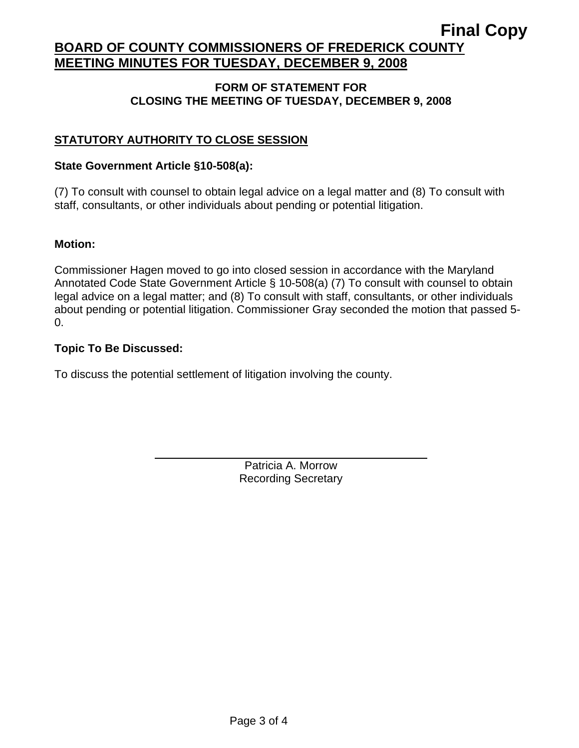### **FORM OF STATEMENT FOR CLOSING THE MEETING OF TUESDAY, DECEMBER 9, 2008**

# **STATUTORY AUTHORITY TO CLOSE SESSION**

### **State Government Article §10-508(a):**

(7) To consult with counsel to obtain legal advice on a legal matter and (8) To consult with staff, consultants, or other individuals about pending or potential litigation.

### **Motion:**

Commissioner Hagen moved to go into closed session in accordance with the Maryland Annotated Code State Government Article § 10-508(a) (7) To consult with counsel to obtain legal advice on a legal matter; and (8) To consult with staff, consultants, or other individuals about pending or potential litigation. Commissioner Gray seconded the motion that passed 5- 0.

### **Topic To Be Discussed:**

 $\overline{a}$ 

To discuss the potential settlement of litigation involving the county.

Patricia A. Morrow Recording Secretary